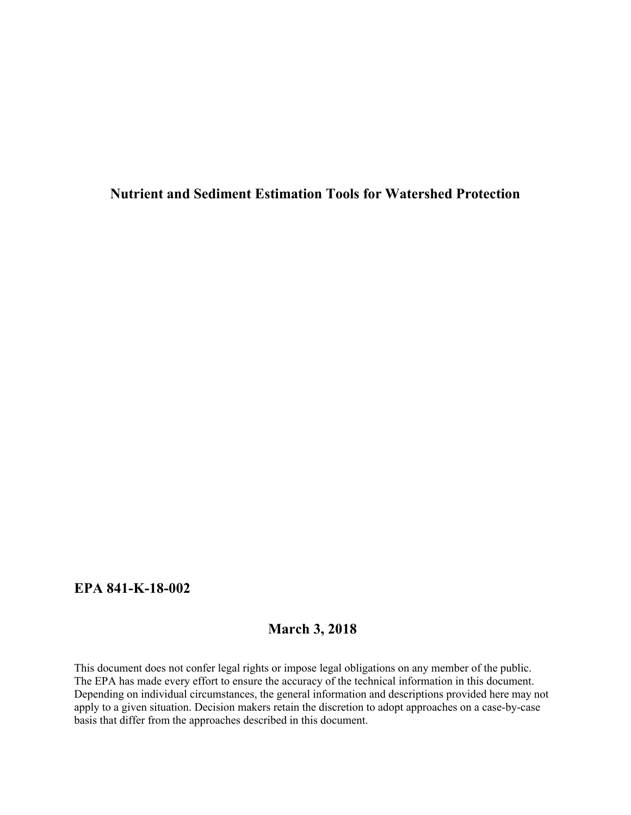**Nutrient and Sediment Estimation Tools for Watershed Protection**

## **EPA 841-K-18-002**

# **March 3, 2018**

This document does not confer legal rights or impose legal obligations on any member of the public. The EPA has made every effort to ensure the accuracy of the technical information in this document. Depending on individual circumstances, the general information and descriptions provided here may not apply to a given situation. Decision makers retain the discretion to adopt approaches on a case-by-case basis that differ from the approaches described in this document.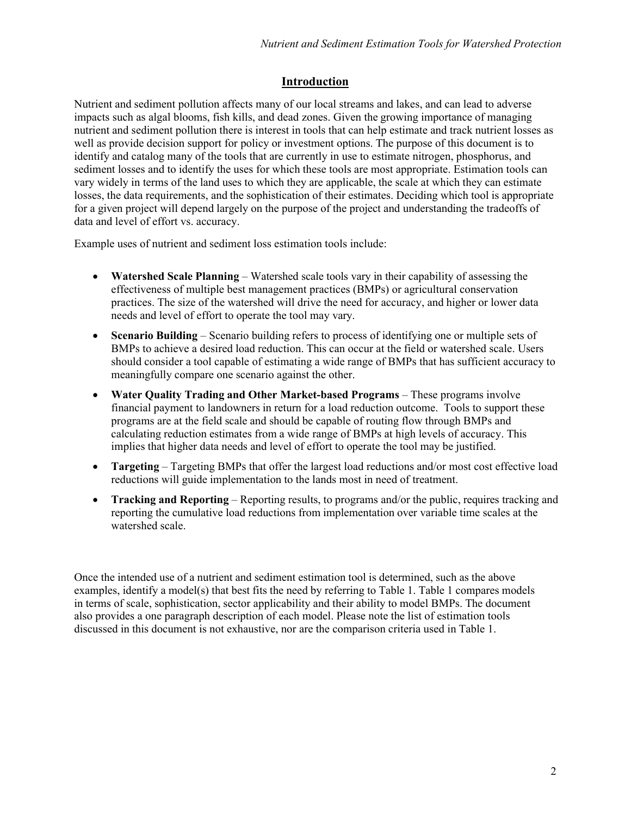## **Introduction**

Nutrient and sediment pollution affects many of our local streams and lakes, and can lead to adverse impacts such as algal blooms, fish kills, and dead zones. Given the growing importance of managing nutrient and sediment pollution there is interest in tools that can help estimate and track nutrient losses as well as provide decision support for policy or investment options. The purpose of this document is to identify and catalog many of the tools that are currently in use to estimate nitrogen, phosphorus, and sediment losses and to identify the uses for which these tools are most appropriate. Estimation tools can vary widely in terms of the land uses to which they are applicable, the scale at which they can estimate losses, the data requirements, and the sophistication of their estimates. Deciding which tool is appropriate for a given project will depend largely on the purpose of the project and understanding the tradeoffs of data and level of effort vs. accuracy.

Example uses of nutrient and sediment loss estimation tools include:

- **Watershed Scale Planning** Watershed scale tools vary in their capability of assessing the effectiveness of multiple best management practices (BMPs) or agricultural conservation practices. The size of the watershed will drive the need for accuracy, and higher or lower data needs and level of effort to operate the tool may vary.
- **Scenario Building** Scenario building refers to process of identifying one or multiple sets of BMPs to achieve a desired load reduction. This can occur at the field or watershed scale. Users should consider a tool capable of estimating a wide range of BMPs that has sufficient accuracy to meaningfully compare one scenario against the other.
- **Water Quality Trading and Other Market-based Programs** These programs involve financial payment to landowners in return for a load reduction outcome. Tools to support these programs are at the field scale and should be capable of routing flow through BMPs and calculating reduction estimates from a wide range of BMPs at high levels of accuracy. This implies that higher data needs and level of effort to operate the tool may be justified.
- **Targeting** Targeting BMPs that offer the largest load reductions and/or most cost effective load reductions will guide implementation to the lands most in need of treatment.
- **Tracking and Reporting** Reporting results, to programs and/or the public, requires tracking and reporting the cumulative load reductions from implementation over variable time scales at the watershed scale.

Once the intended use of a nutrient and sediment estimation tool is determined, such as the above examples, identify a model(s) that best fits the need by referring to Table 1. Table 1 compares models in terms of scale, sophistication, sector applicability and their ability to model BMPs. The document also provides a one paragraph description of each model. Please note the list of estimation tools discussed in this document is not exhaustive, nor are the comparison criteria used in Table 1.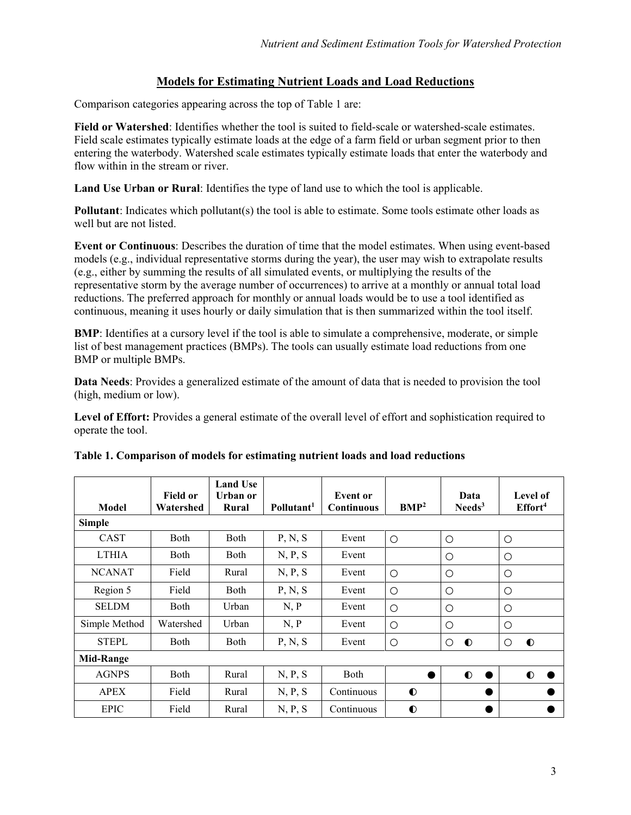### **Models for Estimating Nutrient Loads and Load Reductions**

Comparison categories appearing across the top of Table 1 are:

**Field or Watershed**: Identifies whether the tool is suited to field-scale or watershed-scale estimates. Field scale estimates typically estimate loads at the edge of a farm field or urban segment prior to then entering the waterbody. Watershed scale estimates typically estimate loads that enter the waterbody and flow within in the stream or river.

**Land Use Urban or Rural**: Identifies the type of land use to which the tool is applicable.

**Pollutant**: Indicates which pollutant(s) the tool is able to estimate. Some tools estimate other loads as well but are not listed.

**Event or Continuous**: Describes the duration of time that the model estimates. When using event-based models (e.g., individual representative storms during the year), the user may wish to extrapolate results (e.g., either by summing the results of all simulated events, or multiplying the results of the representative storm by the average number of occurrences) to arrive at a monthly or annual total load reductions. The preferred approach for monthly or annual loads would be to use a tool identified as continuous, meaning it uses hourly or daily simulation that is then summarized within the tool itself.

**BMP**: Identifies at a cursory level if the tool is able to simulate a comprehensive, moderate, or simple list of best management practices (BMPs). The tools can usually estimate load reductions from one BMP or multiple BMPs.

**Data Needs**: Provides a generalized estimate of the amount of data that is needed to provision the tool (high, medium or low).

**Level of Effort:** Provides a general estimate of the overall level of effort and sophistication required to operate the tool.

| Model            | <b>Field or</b><br>Watershed | <b>Land Use</b><br>Urban or<br>Rural | Pollutant <sup>1</sup> | <b>Event</b> or<br><b>Continuous</b> | BMP <sup>2</sup> | Data<br>$\mathrm{Needs}^3$ | <b>Level of</b><br>Effort <sup>4</sup> |
|------------------|------------------------------|--------------------------------------|------------------------|--------------------------------------|------------------|----------------------------|----------------------------------------|
| <b>Simple</b>    |                              |                                      |                        |                                      |                  |                            |                                        |
| <b>CAST</b>      | Both                         | Both                                 | P, N, S                | Event                                | $\circ$          | $\circ$                    | $\circ$                                |
| <b>LTHIA</b>     | Both                         | Both                                 | N, P, S                | Event                                |                  | $\circ$                    | O                                      |
| <b>NCANAT</b>    | Field                        | Rural                                | N, P, S                | Event                                | $\circ$          | $\circ$                    | $\circ$                                |
| Region 5         | Field                        | Both                                 | P, N, S                | Event                                | $\circ$          | $\circ$                    | $\circ$                                |
| <b>SELDM</b>     | Both                         | Urban                                | N, P                   | Event                                | $\circ$          | $\circ$                    | $\circ$                                |
| Simple Method    | Watershed                    | Urban                                | N, P                   | Event                                | $\circ$          | $\circ$                    | O                                      |
| <b>STEPL</b>     | Both                         | Both                                 | P, N, S                | Event                                | $\circ$          | $\circ$<br>$\bullet$       | $\bullet$<br>$\circ$                   |
| <b>Mid-Range</b> |                              |                                      |                        |                                      |                  |                            |                                        |
| <b>AGNPS</b>     | Both                         | Rural                                | N, P, S                | <b>Both</b>                          |                  | $\bullet$<br>●             | $\bullet$                              |
| <b>APEX</b>      | Field                        | Rural                                | N, P, S                | Continuous                           | $\bullet$        |                            |                                        |
| <b>EPIC</b>      | Field                        | Rural                                | N, P, S                | Continuous                           | $\bullet$        | ٠                          |                                        |

#### **Table 1. Comparison of models for estimating nutrient loads and load reductions**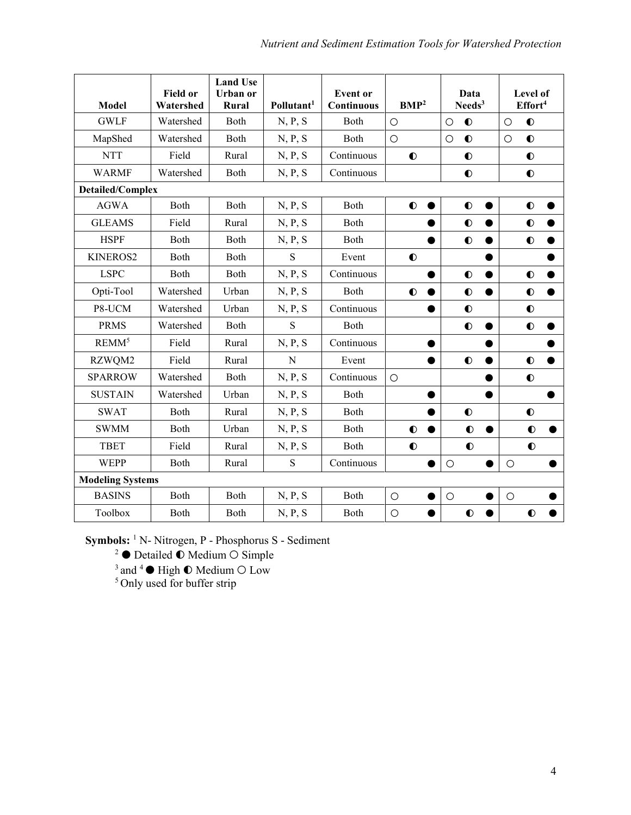| <b>Model</b>            | <b>Field or</b><br>Watershed | <b>Land Use</b><br>Urban or<br>Rural | Pollutant <sup>1</sup> | <b>Event</b> or<br>Continuous | BMP <sup>2</sup>       | Data<br>Needs <sup>3</sup> | Level of<br>Effort <sup>4</sup> |  |  |
|-------------------------|------------------------------|--------------------------------------|------------------------|-------------------------------|------------------------|----------------------------|---------------------------------|--|--|
| <b>GWLF</b>             | Watershed                    | Both                                 | N, P, S                | Both                          | $\circ$                | $\bullet$<br>$\circ$       | $\bullet$<br>$\circ$            |  |  |
| MapShed                 | Watershed                    | Both                                 | N, P, S                | Both                          | $\circ$                | $\bullet$<br>$\circ$       | $\bullet$<br>$\circ$            |  |  |
| <b>NTT</b>              | Field                        | Rural                                | N, P, S                | Continuous                    | $\bullet$              | $\bullet$                  | $\bullet$                       |  |  |
| <b>WARMF</b>            | Watershed                    | Both                                 | N, P, S                | Continuous                    |                        | $\bullet$                  | $\bullet$                       |  |  |
| <b>Detailed/Complex</b> |                              |                                      |                        |                               |                        |                            |                                 |  |  |
| <b>AGWA</b>             | Both                         | Both                                 | N, P, S                | Both                          | $\bullet$<br>$\bullet$ | $\bullet$                  | $\bullet$                       |  |  |
| <b>GLEAMS</b>           | Field                        | Rural                                | N, P, S                | Both                          |                        | $\bullet$                  | $\bullet$                       |  |  |
| <b>HSPF</b>             | Both                         | Both                                 | N, P, S                | Both                          |                        | $\bullet$                  | $\bullet$                       |  |  |
| KINEROS2                | Both                         | Both                                 | S                      | Event                         | $\bullet$              |                            |                                 |  |  |
| <b>LSPC</b>             | Both                         | Both                                 | N, P, S                | Continuous                    |                        | $\bullet$                  | $\bullet$                       |  |  |
| Opti-Tool               | Watershed                    | Urban                                | N, P, S                | Both                          | $\bullet$              | $\bullet$                  | $\bullet$                       |  |  |
| P8-UCM                  | Watershed                    | Urban                                | N, P, S                | Continuous                    |                        | $\bullet$                  | $\bullet$                       |  |  |
| <b>PRMS</b>             | Watershed                    | Both                                 | $\mathbf S$            | Both                          |                        | $\bullet$                  | $\bullet$                       |  |  |
| REMM <sup>5</sup>       | Field                        | Rural                                | N, P, S                | Continuous                    |                        |                            |                                 |  |  |
| RZWQM2                  | Field                        | Rural                                | N                      | Event                         |                        | $\bullet$                  | $\bullet$                       |  |  |
| <b>SPARROW</b>          | Watershed                    | Both                                 | N, P, S                | Continuous                    | $\circ$                |                            | $\bullet$                       |  |  |
| <b>SUSTAIN</b>          | Watershed                    | Urban                                | N, P, S                | Both                          |                        |                            | $\bullet$                       |  |  |
| <b>SWAT</b>             | Both                         | Rural                                | N, P, S                | Both                          |                        | $\bullet$                  | $\bullet$                       |  |  |
| <b>SWMM</b>             | Both                         | Urban                                | N, P, S                | Both                          | $\bullet$              | $\bullet$                  | $\bullet$                       |  |  |
| <b>TBET</b>             | Field                        | Rural                                | N, P, S                | Both                          | $\bullet$              | $\bullet$                  | $\bullet$                       |  |  |
| <b>WEPP</b>             | Both                         | Rural                                | S                      | Continuous                    |                        | $\circ$                    | $\circ$                         |  |  |
| <b>Modeling Systems</b> |                              |                                      |                        |                               |                        |                            |                                 |  |  |
| <b>BASINS</b>           | Both                         | Both                                 | N, P, S                | Both                          | $\circ$                | $\circ$                    | $\circ$                         |  |  |
| Toolbox                 | Both                         | Both                                 | N, P, S                | Both                          | $\circ$                | $\bullet$                  | $\bullet$                       |  |  |

**Symbols:** <sup>1</sup> N- Nitrogen, P - Phosphorus S - Sediment

<sup>2</sup>  $\bullet$  Detailed  $\bullet$  Medium  $\circ$  Simple

 $3$  and  $4 \bullet$  High  $\bullet$  Medium  $\circ$  Low

<sup>5</sup> Only used for buffer strip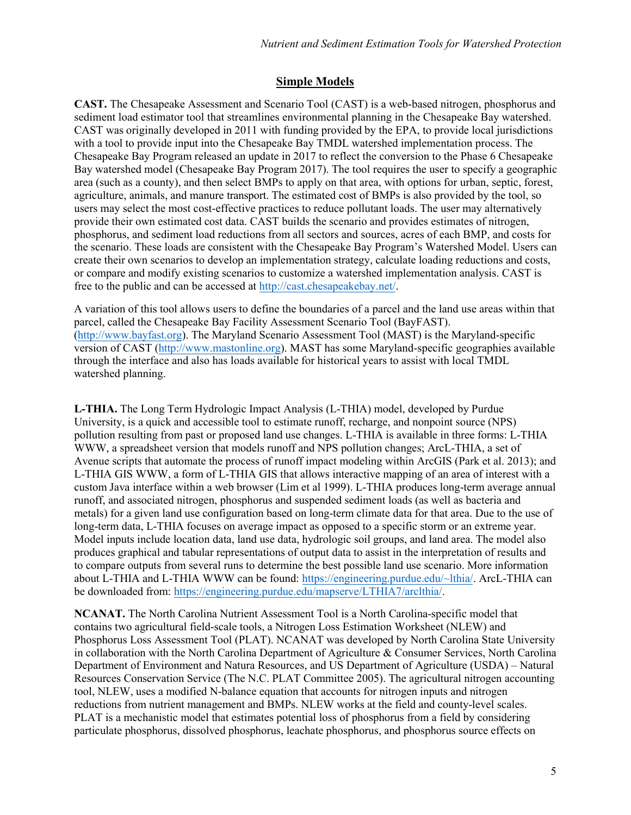### **Simple Models**

**CAST.** The Chesapeake Assessment and Scenario Tool (CAST) is a web-based nitrogen, phosphorus and sediment load estimator tool that streamlines environmental planning in the Chesapeake Bay watershed. CAST was originally developed in 2011 with funding provided by the EPA, to provide local jurisdictions with a tool to provide input into the Chesapeake Bay TMDL watershed implementation process. The Chesapeake Bay Program released an update in 2017 to reflect the conversion to the Phase 6 Chesapeake Bay watershed model (Chesapeake Bay Program 2017). The tool requires the user to specify a geographic area (such as a county), and then select BMPs to apply on that area, with options for urban, septic, forest, agriculture, animals, and manure transport. The estimated cost of BMPs is also provided by the tool, so users may select the most cost-effective practices to reduce pollutant loads. The user may alternatively provide their own estimated cost data. CAST builds the scenario and provides estimates of nitrogen, phosphorus, and sediment load reductions from all sectors and sources, acres of each BMP, and costs for the scenario. These loads are consistent with the Chesapeake Bay Program's Watershed Model. Users can create their own scenarios to develop an implementation strategy, calculate loading reductions and costs, or compare and modify existing scenarios to customize a watershed implementation analysis. CAST is free to the public and can [be accessed](http://cast.chesapeakebay.net/) at http://cast.chesapeakebay.net/.

A variation of this tool allows users to define the boundaries of a parcel and the land use areas within that parcel, called the Chesapeake Bay Facility Assessment Scenario Tool (BayFAST). [\(http://www.bayfast.org\)](http://www.bayfast.org/). The Maryland Scenario Assessment Tool (MAST) is the Maryland-specific version of CAST [\(http://www.mastonline.org\)](http://www.mastonline.org/). MAST has some Maryland-specific geographies available through the interface and also has loads available for historical years to assist with local TMDL watershed planning.

**L-THIA.** The Long Term Hydrologic Impact Analysis (L-THIA) model, developed by Purdue University, is a quick and accessible tool to estimate runoff, recharge, and nonpoint source (NPS) pollution resulting from past or proposed land use changes. L-THIA is available in three forms: L-THIA WWW, a spreadsheet version that models runoff and NPS pollution changes; ArcL-THIA, a set of Avenue scripts that automate the process of runoff impact modeling within ArcGIS (Park et al. 2013); and L-THIA GIS WWW, a form of L-THIA GIS that allows interactive mapping of an area of interest with a custom Java interface within a web browser (Lim et al 1999). L-THIA produces long-term average annual runoff, and associated nitrogen, phosphorus and suspended sediment loads (as well as bacteria and metals) for a given land use configuration based on long-term climate data for that area. Due to the use of long-term data, L-THIA focuses on average impact as opposed to a specific storm or an extreme year. Model inputs include location data, land use data, hydrologic soil groups, and land area. The model also produces graphical and tabular representations of output data to assist in the interpretation of results and to compare outputs from several runs to determine the best possible land use scenario. More information about L-THIA and L-THIA WWW can be found: [https://engineering.purdue.edu/~lthia/.](https://engineering.purdue.edu/%7Elthia/) ArcL-THIA can be downloaded from: [https://engineering.purdue.edu/mapserve/LTHIA7/arclthia/.](https://engineering.purdue.edu/mapserve/LTHIA7/arclthia/)

**NCANAT.** The North Carolina Nutrient Assessment Tool is a North Carolina-specific model that contains two agricultural field-scale tools, a Nitrogen Loss Estimation Worksheet (NLEW) and Phosphorus Loss Assessment Tool (PLAT). NCANAT was developed by North Carolina State University in collaboration with the North Carolina Department of Agriculture & Consumer Services, North Carolina Department of Environment and Natura Resources, and US Department of Agriculture (USDA) – Natural Resources Conservation Service (The N.C. PLAT Committee 2005). The agricultural nitrogen accounting tool, NLEW, uses a modified N-balance equation that accounts for nitrogen inputs and nitrogen reductions from nutrient management and BMPs. NLEW works at the field and county-level scales. PLAT is a mechanistic model that estimates potential loss of phosphorus from a field by considering particulate phosphorus, dissolved phosphorus, leachate phosphorus, and phosphorus source effects on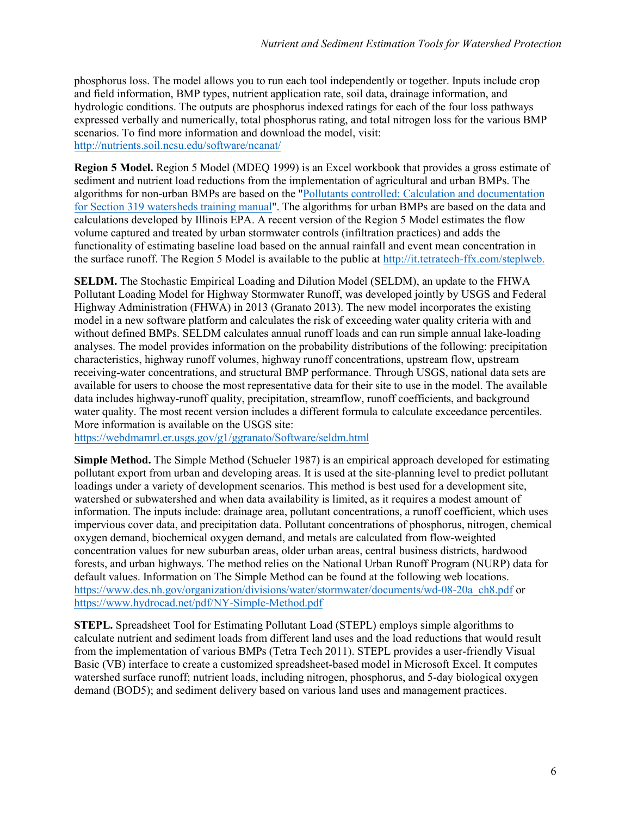phosphorus loss. The model allows you to run each tool independently or together. Inputs include crop and field information, BMP types, nutrient application rate, soil data, drainage information, and hydrologic conditions. The outputs are phosphorus indexed ratings for each of the four loss pathways expressed verbally and numerically, total phosphorus rating, and total nitrogen loss for the various BMP scenarios. To find more information and download the model, visit: <http://nutrients.soil.ncsu.edu/software/ncanat/>

**Region 5 Model.** Region 5 Model (MDEQ 1999) is an Excel workbook that provides a gross estimate of sediment and nutrient load reductions from the implementation of agricultural and urban BMPs. The algorithms for non-urban BMPs are based on the ["Pollutants controlled: Calculation and documentation](https://water.ohiodnr.gov/portals/soilwater/pdf/soil/MI_poll_man.pdf)  [for Section 319 watersheds training manual"](https://water.ohiodnr.gov/portals/soilwater/pdf/soil/MI_poll_man.pdf). The algorithms for urban BMPs are based on the data and calculations developed by Illinois EPA. A recent version of the Region 5 Model estimates the flow volume captured and treated by urban stormwater controls (infiltration practices) and adds the functionality of estimating baseline load based on the annual rainfall and event mean concentration in the surface runoff. The Region 5 Model is available to the public at [http://it.tetratech-ffx.com/steplw](http://it.tetratech-ffx.com/steplweb)eb.

**SELDM.** The Stochastic Empirical Loading and Dilution Model (SELDM), an update to the FHWA Pollutant Loading Model for Highway Stormwater Runoff, was developed jointly by USGS and Federal Highway Administration (FHWA) in 2013 (Granato 2013). The new model incorporates the existing model in a new software platform and calculates the risk of exceeding water quality criteria with and without defined BMPs. SELDM calculates annual runoff loads and can run simple annual lake-loading analyses. The model provides information on the probability distributions of the following: precipitation characteristics, highway runoff volumes, highway runoff concentrations, upstream flow, upstream receiving-water concentrations, and structural BMP performance. Through USGS, national data sets are available for users to choose the most representative data for their site to use in the model. The available data includes highway-runoff quality, precipitation, streamflow, runoff coefficients, and background water quality. The most recent version includes a different formula to calculate exceedance percentiles. More information is available on the USGS site:

<https://webdmamrl.er.usgs.gov/g1/ggranato/Software/seldm.html>

**Simple Method.** The Simple Method (Schueler 1987) is an empirical approach developed for estimating pollutant export from urban and developing areas. It is used at the site-planning level to predict pollutant loadings under a variety of development scenarios. This method is best used for a development site, watershed or subwatershed and when data availability is limited, as it requires a modest amount of information. The inputs include: drainage area, pollutant concentrations, a runoff coefficient, which uses impervious cover data, and precipitation data. Pollutant concentrations of phosphorus, nitrogen, chemical oxygen demand, biochemical oxygen demand, and metals are calculated from flow-weighted concentration values for new suburban areas, older urban areas, central business districts, hardwood forests, and urban highways. The method relies on the National Urban Runoff Program (NURP) data for default values. Information on The Simple Method can be found at the following web locations. [https://www.des.nh.gov/organization/divisions/water/stormwater/documents/wd-08-20a\\_ch8.pdf](https://www.des.nh.gov/organization/divisions/water/stormwater/documents/wd-08-20a_ch8.pdf) or <https://www.hydrocad.net/pdf/NY-Simple-Method.pdf>

**STEPL.** Spreadsheet Tool for Estimating Pollutant Load (STEPL) employs simple algorithms to calculate nutrient and sediment loads from different land uses and the load reductions that would result from the implementation of various BMPs (Tetra Tech 2011). STEPL provides a user-friendly Visual Basic (VB) interface to create a customized spreadsheet-based model in Microsoft Excel. It computes watershed surface runoff; nutrient loads, including nitrogen, phosphorus, and 5-day biological oxygen demand (BOD5); and sediment delivery based on various land uses and management practices.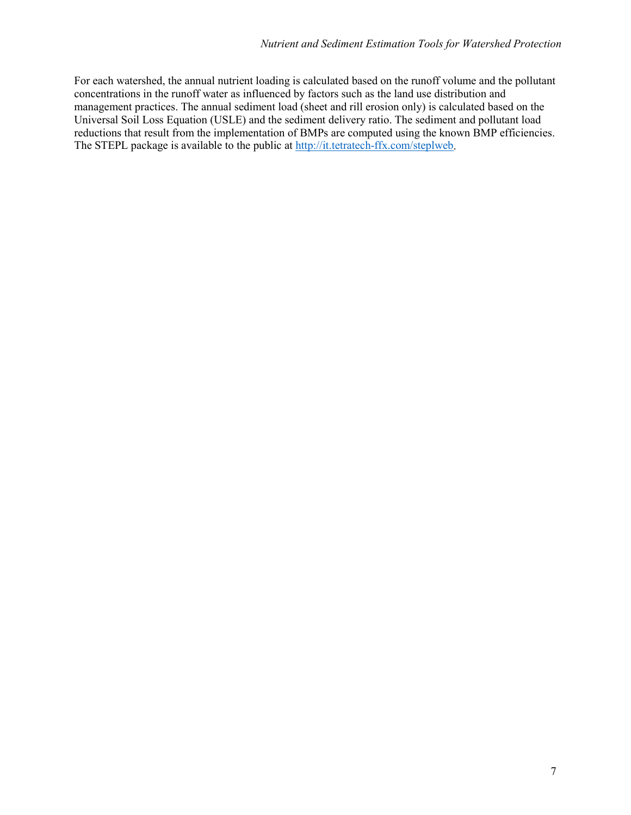For each watershed, the annual nutrient loading is calculated based on the runoff volume and the pollutant concentrations in the runoff water as influenced by factors such as the land use distribution and management practices. The annual sediment load (sheet and rill erosion only) is calculated based on the Universal Soil Loss Equation (USLE) and the sediment delivery ratio. The sediment and pollutant load reductions that result from the implementation of BMPs are computed using the known BMP efficiencies. The STEPL package is available to the public a[t http://it.tetratech-ffx.com/steplweb.](http://it.tetratech-ffx.com/steplweb)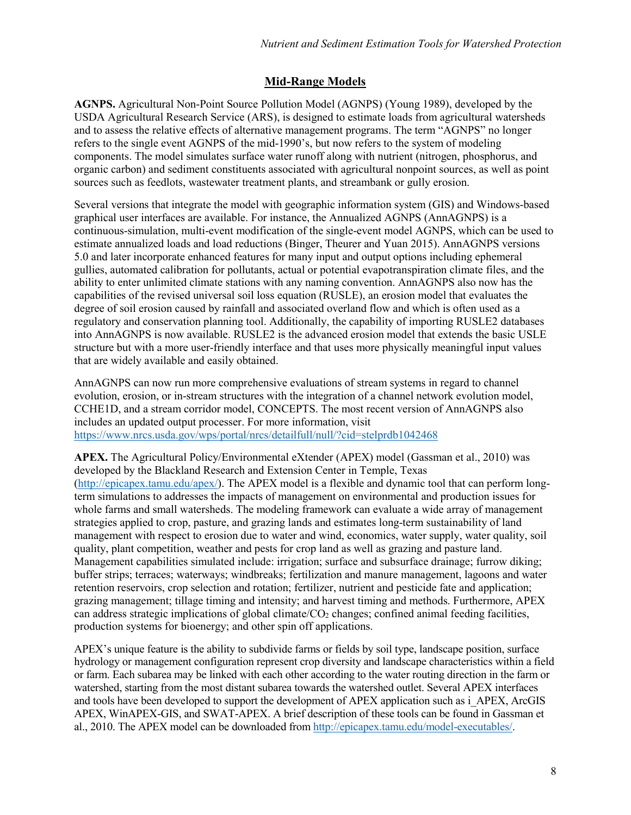### **Mid-Range Models**

**AGNPS.** Agricultural Non-Point Source Pollution Model (AGNPS) (Young 1989), developed by the USDA Agricultural Research Service (ARS), is designed to estimate loads from agricultural watersheds and to assess the relative effects of alternative management programs. The term "AGNPS" no longer refers to the single event AGNPS of the mid-1990's, but now refers to the system of modeling components. The model simulates surface water runoff along with nutrient (nitrogen, phosphorus, and organic carbon) and sediment constituents associated with agricultural nonpoint sources, as well as point sources such as feedlots, wastewater treatment plants, and streambank or gully erosion.

Several versions that integrate the model with geographic information system (GIS) and Windows-based graphical user interfaces are available. For instance, the Annualized AGNPS (AnnAGNPS) is a continuous-simulation, multi-event modification of the single-event model AGNPS, which can be used to estimate annualized loads and load reductions (Binger, Theurer and Yuan 2015). AnnAGNPS versions 5.0 and later incorporate enhanced features for many input and output options including ephemeral gullies, automated calibration for pollutants, actual or potential evapotranspiration climate files, and the ability to enter unlimited climate stations with any naming convention. AnnAGNPS also now has the capabilities of the revised universal soil loss equation (RUSLE), an erosion model that evaluates the degree of soil erosion caused by rainfall and associated overland flow and which is often used as a regulatory and conservation planning tool. Additionally, the capability of importing RUSLE2 databases into AnnAGNPS is now available. RUSLE2 is the advanced erosion model that extends the basic USLE structure but with a more user-friendly interface and that uses more physically meaningful input values that are widely available and easily obtained.

AnnAGNPS can now run more comprehensive evaluations of stream systems in regard to channel evolution, erosion, or in-stream structures with the integration of a channel network evolution model, CCHE1D, and a stream corridor model, CONCEPTS. The most recent version of AnnAGNPS also includes an updated output processer. For more information, visit <https://www.nrcs.usda.gov/wps/portal/nrcs/detailfull/null/?cid=stelprdb1042468>

**APEX.** The Agricultural Policy/Environmental eXtender (APEX) model (Gassman et al., 2010) was developed by the Blackland Research and Extension Center in Temple, Texas [\(http://epicapex.tamu.edu/apex/\)](http://epicapex.tamu.edu/apex/). The APEX model is a flexible and dynamic tool that can perform longterm simulations to addresses the impacts of management on environmental and production issues for whole farms and small watersheds. The modeling framework can evaluate a wide array of management strategies applied to crop, pasture, and grazing lands and estimates long-term sustainability of land management with respect to erosion due to water and wind, economics, water supply, water quality, soil quality, plant competition, weather and pests for crop land as well as grazing and pasture land. Management capabilities simulated include: irrigation; surface and subsurface drainage; furrow diking; buffer strips; terraces; waterways; windbreaks; fertilization and manure management, lagoons and water retention reservoirs, crop selection and rotation; fertilizer, nutrient and pesticide fate and application; grazing management; tillage timing and intensity; and harvest timing and methods. Furthermore, APEX can address strategic implications of global climate/ $CO<sub>2</sub>$  changes; confined animal feeding facilities, production systems for bioenergy; and other spin off applications.

APEX's unique feature is the ability to subdivide farms or fields by soil type, landscape position, surface hydrology or management configuration represent crop diversity and landscape characteristics within a field or farm. Each subarea may be linked with each other according to the water routing direction in the farm or watershed, starting from the most distant subarea towards the watershed outlet. Several APEX interfaces and tools have been developed to support the development of APEX application such as i\_APEX, ArcGIS APEX, WinAPEX-GIS, and SWAT-APEX. A brief description of these tools can be found in Gassman et al., 2010. The APEX model can be downloaded from [http://epicapex.tamu.edu/model-executables/.](http://epicapex.tamu.edu/model-executables/)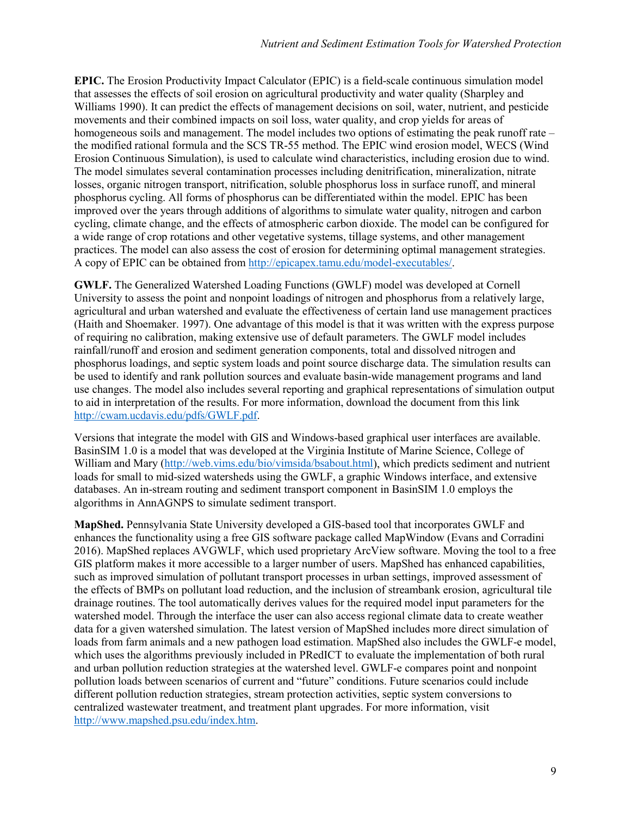**EPIC.** The Erosion Productivity Impact Calculator (EPIC) is a field-scale continuous simulation model that assesses the effects of soil erosion on agricultural productivity and water quality (Sharpley and Williams 1990). It can predict the effects of management decisions on soil, water, nutrient, and pesticide movements and their combined impacts on soil loss, water quality, and crop yields for areas of homogeneous soils and management. The model includes two options of estimating the peak runoff rate – the modified rational formula and the SCS TR-55 method. The EPIC wind erosion model, WECS (Wind Erosion Continuous Simulation), is used to calculate wind characteristics, including erosion due to wind. The model simulates several contamination processes including denitrification, mineralization, nitrate losses, organic nitrogen transport, nitrification, soluble phosphorus loss in surface runoff, and mineral phosphorus cycling. All forms of phosphorus can be differentiated within the model. EPIC has been improved over the years through additions of algorithms to simulate water quality, nitrogen and carbon cycling, climate change, and the effects of atmospheric carbon dioxide. The model can be configured for a wide range of crop rotations and other vegetative systems, tillage systems, and other management practices. The model can also assess the cost of erosion for determining optimal management strategies. A copy of EPIC can be obtained from [http://epicapex.tamu.edu/model-executables/.](http://epicapex.tamu.edu/model-executables/)

**GWLF.** The Generalized Watershed Loading Functions (GWLF) model was developed at Cornell University to assess the point and nonpoint loadings of nitrogen and phosphorus from a relatively large, agricultural and urban watershed and evaluate the effectiveness of certain land use management practices (Haith and Shoemaker. 1997). One advantage of this model is that it was written with the express purpose of requiring no calibration, making extensive use of default parameters. The GWLF model includes rainfall/runoff and erosion and sediment generation components, total and dissolved nitrogen and phosphorus loadings, and septic system loads and point source discharge data. The simulation results can be used to identify and rank pollution sources and evaluate basin-wide management programs and land use changes. The model also includes several reporting and graphical representations of simulation output to aid in interpretation of the results. For more information, download the document from this link [http://cwam.ucdavis.edu/pdfs/GWLF.pdf.](http://cwam.ucdavis.edu/pdfs/GWLF.pdf)

Versions that integrate the model with GIS and Windows-based graphical user interfaces are available. BasinSIM 1.0 is a model that was developed at the Virginia Institute of Marine Science, College of William and Mary [\(http://web.vims.edu/bio/vimsida/bsabout.html\)](http://web.vims.edu/bio/vimsida/bsabout.html), which predicts sediment and nutrient loads for small to mid-sized watersheds using the GWLF, a graphic Windows interface, and extensive databases. An in-stream routing and sediment transport component in BasinSIM 1.0 employs the algorithms in AnnAGNPS to simulate sediment transport.

**MapShed.** Pennsylvania State University developed a GIS-based tool that incorporates GWLF and enhances the functionality using a free GIS software package called MapWindow (Evans and Corradini 2016). MapShed replaces AVGWLF, which used proprietary ArcView software. Moving the tool to a free GIS platform makes it more accessible to a larger number of users. MapShed has enhanced capabilities, such as improved simulation of pollutant transport processes in urban settings, improved assessment of the effects of BMPs on pollutant load reduction, and the inclusion of streambank erosion, agricultural tile drainage routines. The tool automatically derives values for the required model input parameters for the watershed model. Through the interface the user can also access regional climate data to create weather data for a given watershed simulation. The latest version of MapShed includes more direct simulation of loads from farm animals and a new pathogen load estimation. MapShed also includes the GWLF-e model, which uses the algorithms previously included in PRedICT to evaluate the implementation of both rural and urban pollution reduction strategies at the watershed level. GWLF-e compares point and nonpoint pollution loads between scenarios of current and "future" conditions. Future scenarios could include different pollution reduction strategies, stream protection activities, septic system conversions to centralized wastewater treatment, and treatment plant upgrades. For more information, visit [http://www.mapshed.psu.edu/index.htm.](http://www.mapshed.psu.edu/index.htm)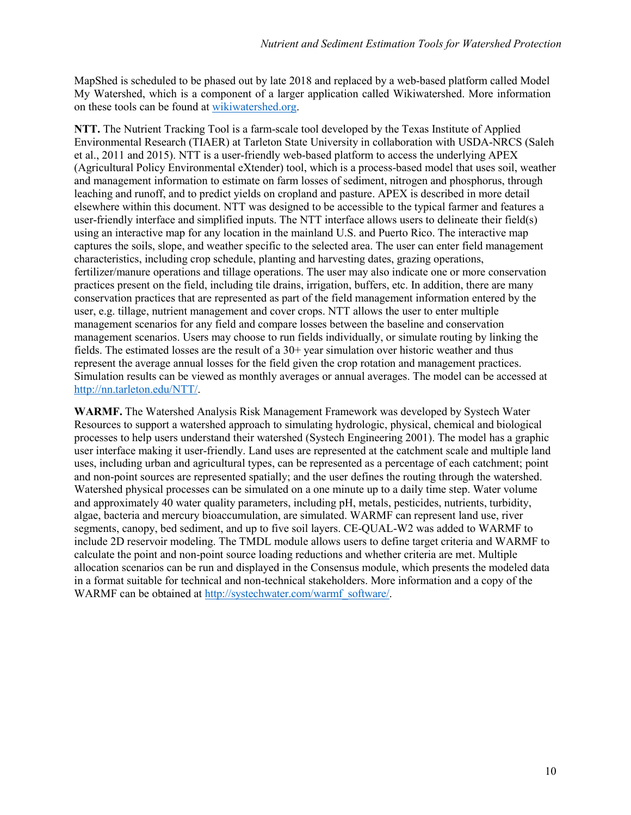MapShed is scheduled to be phased out by late 2018 and replaced by a web-based platform called Model My Watershed, which is a component of a larger application called Wikiwatershed. More information on these tools can be found at [wikiwatershed.org.](https://wikiwatershed.org)

**NTT.** The Nutrient Tracking Tool is a farm-scale tool developed by the Texas Institute of Applied Environmental Research (TIAER) at Tarleton State University in collaboration with USDA-NRCS (Saleh et al., 2011 and 2015). NTT is a user-friendly web-based platform to access the underlying APEX (Agricultural Policy Environmental eXtender) tool, which is a process-based model that uses soil, weather and management information to estimate on farm losses of sediment, nitrogen and phosphorus, through leaching and runoff, and to predict yields on cropland and pasture. APEX is described in more detail elsewhere within this document. NTT was designed to be accessible to the typical farmer and features a user-friendly interface and simplified inputs. The NTT interface allows users to delineate their field(s) using an interactive map for any location in the mainland U.S. and Puerto Rico. The interactive map captures the soils, slope, and weather specific to the selected area. The user can enter field management characteristics, including crop schedule, planting and harvesting dates, grazing operations, fertilizer/manure operations and tillage operations. The user may also indicate one or more conservation practices present on the field, including tile drains, irrigation, buffers, etc. In addition, there are many conservation practices that are represented as part of the field management information entered by the user, e.g. tillage, nutrient management and cover crops. NTT allows the user to enter multiple management scenarios for any field and compare losses between the baseline and conservation management scenarios. Users may choose to run fields individually, or simulate routing by linking the fields. The estimated losses are the result of a  $30+$  year simulation over historic weather and thus represent the average annual losses for the field given the crop rotation and management practices. Simulation results can be viewed as monthly averages or annual averages. The model can be accessed at [http://nn.tarleton.edu/NTT/.](http://nn.tarleton.edu/NTT/)

**WARMF.** The Watershed Analysis Risk Management Framework was developed by Systech Water Resources to support a watershed approach to simulating hydrologic, physical, chemical and biological processes to help users understand their watershed (Systech Engineering 2001). The model has a graphic user interface making it user-friendly. Land uses are represented at the catchment scale and multiple land uses, including urban and agricultural types, can be represented as a percentage of each catchment; point and non-point sources are represented spatially; and the user defines the routing through the watershed. Watershed physical processes can be simulated on a one minute up to a daily time step. Water volume and approximately 40 water quality parameters, including pH, metals, pesticides, nutrients, turbidity, algae, bacteria and mercury bioaccumulation, are simulated. WARMF can represent land use, river segments, canopy, bed sediment, and up to five soil layers. CE-QUAL-W2 was added to WARMF to include 2D reservoir modeling. The TMDL module allows users to define target criteria and WARMF to calculate the point and non-point source loading reductions and whether criteria are met. Multiple allocation scenarios can be run and displayed in the Consensus module, which presents the modeled data in a format suitable for technical and non-technical stakeholders. More information and a copy of the WARMF can be obtained at [http://systechwater.com/warmf\\_software/.](http://systechwater.com/warmf_software/)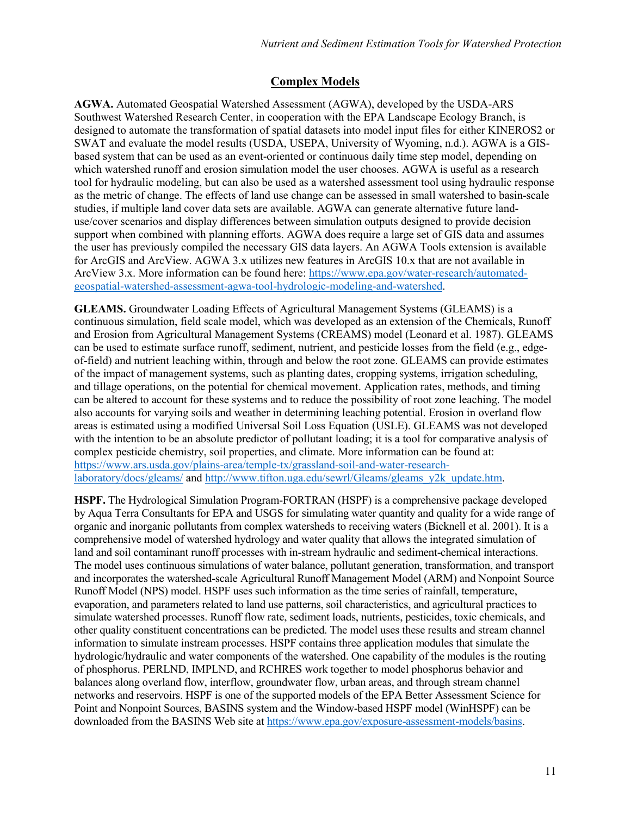## **Complex Models**

**AGWA.** Automated Geospatial Watershed Assessment (AGWA), developed by the USDA-ARS Southwest Watershed Research Center, in cooperation with the EPA Landscape Ecology Branch, is designed to automate the transformation of spatial datasets into model input files for either KINEROS2 or SWAT and evaluate the model results (USDA, USEPA, University of Wyoming, n.d.). AGWA is a GISbased system that can be used as an event-oriented or continuous daily time step model, depending on which watershed runoff and erosion simulation model the user chooses. AGWA is useful as a research tool for hydraulic modeling, but can also be used as a watershed assessment tool using hydraulic response as the metric of change. The effects of land use change can be assessed in small watershed to basin-scale studies, if multiple land cover data sets are available. AGWA can generate alternative future landuse/cover scenarios and display differences between simulation outputs designed to provide decision support when combined with planning efforts. AGWA does require a large set of GIS data and assumes the user has previously compiled the necessary GIS data layers. An AGWA Tools extension is available for ArcGIS and ArcView. AGWA 3.x utilizes new features in ArcGIS 10.x that are not available in ArcView 3.x. More information can be found here: [https://www.epa.gov/water-research/automated](https://www.epa.gov/water-research/automated-geospatial-watershed-assessment-agwa-tool-hydrologic-modeling-and-watershed)[geospatial-watershed-assessment-agwa-tool-hydrologic-modeling-and-watershed.](https://www.epa.gov/water-research/automated-geospatial-watershed-assessment-agwa-tool-hydrologic-modeling-and-watershed)

**GLEAMS.** Groundwater Loading Effects of Agricultural Management Systems (GLEAMS) is a continuous simulation, field scale model, which was developed as an extension of the Chemicals, Runoff and Erosion from Agricultural Management Systems (CREAMS) model (Leonard et al. 1987). GLEAMS can be used to estimate surface runoff, sediment, nutrient, and pesticide losses from the field (e.g., edgeof-field) and nutrient leaching within, through and below the root zone. GLEAMS can provide estimates of the impact of management systems, such as planting dates, cropping systems, irrigation scheduling, and tillage operations, on the potential for chemical movement. Application rates, methods, and timing can be altered to account for these systems and to reduce the possibility of root zone leaching. The model also accounts for varying soils and weather in determining leaching potential. Erosion in overland flow areas is estimated using a modified Universal Soil Loss Equation (USLE). GLEAMS was not developed with the intention to be an absolute predictor of pollutant loading; it is a tool for comparative analysis of complex pesticide chemistry, soil properties, and climate. More information can be found at: [https://www.ars.usda.gov/plains-area/temple-tx/grassland-soil-and-water-research](https://www.ars.usda.gov/plains-area/temple-tx/grassland-soil-and-water-research-laboratory/docs/gleams/)[laboratory/docs/gleams/](https://www.ars.usda.gov/plains-area/temple-tx/grassland-soil-and-water-research-laboratory/docs/gleams/) and [http://www.tifton.uga.edu/sewrl/Gleams/gleams\\_y2k\\_update.htm.](http://www.tifton.uga.edu/sewrl/Gleams/gleams_y2k_update.htm)

**HSPF.** The Hydrological Simulation Program-FORTRAN (HSPF) is a comprehensive package developed by Aqua Terra Consultants for EPA and USGS for simulating water quantity and quality for a wide range of organic and inorganic pollutants from complex watersheds to receiving waters (Bicknell et al. 2001). It is a comprehensive model of watershed hydrology and water quality that allows the integrated simulation of land and soil contaminant runoff processes with in-stream hydraulic and sediment-chemical interactions. The model uses continuous simulations of water balance, pollutant generation, transformation, and transport and incorporates the watershed-scale Agricultural Runoff Management Model (ARM) and Nonpoint Source Runoff Model (NPS) model. HSPF uses such information as the time series of rainfall, temperature, evaporation, and parameters related to land use patterns, soil characteristics, and agricultural practices to simulate watershed processes. Runoff flow rate, sediment loads, nutrients, pesticides, toxic chemicals, and other quality constituent concentrations can be predicted. The model uses these results and stream channel information to simulate instream processes. HSPF contains three application modules that simulate the hydrologic/hydraulic and water components of the watershed. One capability of the modules is the routing of phosphorus. PERLND, IMPLND, and RCHRES work together to model phosphorus behavior and balances along overland flow, interflow, groundwater flow, urban areas, and through stream channel networks and reservoirs. HSPF is one of the supported models of the EPA Better Assessment Science for Point and Nonpoint Sources, BASINS system and the Window-based HSPF model (WinHSPF) can be downloaded from the BASINS Web site at [https://www.epa.gov/exposure-assessment-models/basins.](https://www.epa.gov/exposure-assessment-models/basins)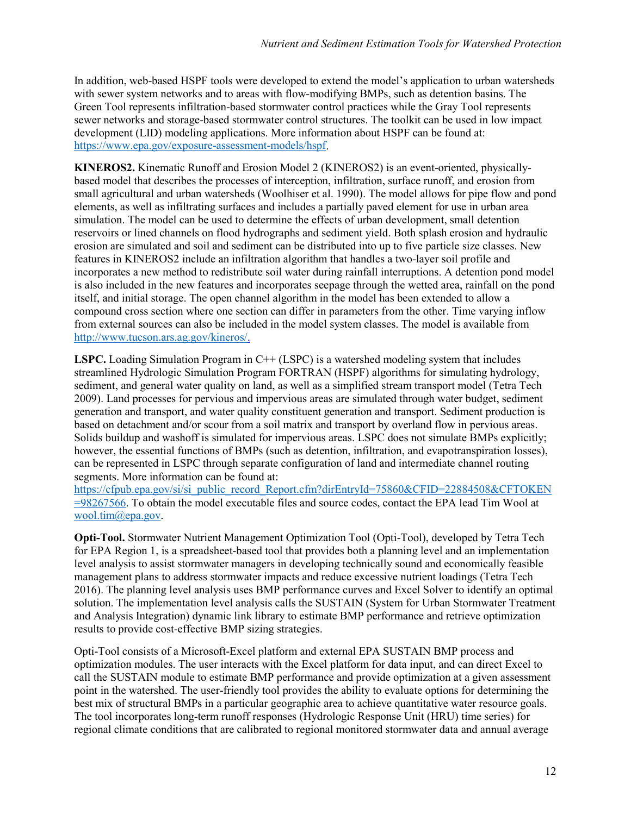In addition, web-based HSPF tools were developed to extend the model's application to urban watersheds with sewer system networks and to areas with flow-modifying BMPs, such as detention basins. The Green Tool represents infiltration-based stormwater control practices while the Gray Tool represents sewer networks and storage-based stormwater control structures. The toolkit can be used in low impact development (LID) modeling applications. More information about HSPF can be found at: [https://www.epa.gov/exposure-assessment-models/hspf.](https://www.epa.gov/exposure-assessment-models/hspf)

**KINEROS2.** Kinematic Runoff and Erosion Model 2 (KINEROS2) is an event-oriented, physicallybased model that describes the processes of interception, infiltration, surface runoff, and erosion from small agricultural and urban watersheds (Woolhiser et al. 1990). The model allows for pipe flow and pond elements, as well as infiltrating surfaces and includes a partially paved element for use in urban area simulation. The model can be used to determine the effects of urban development, small detention reservoirs or lined channels on flood hydrographs and sediment yield. Both splash erosion and hydraulic erosion are simulated and soil and sediment can be distributed into up to five particle size classes. New features in KINEROS2 include an infiltration algorithm that handles a two-layer soil profile and incorporates a new method to redistribute soil water during rainfall interruptions. A detention pond model is also included in the new features and incorporates seepage through the wetted area, rainfall on the pond itself, and initial storage. The open channel algorithm in the model has been extended to allow a compound cross section where one section can differ in parameters from the other. Time varying inflow from external sources can also be included in the model system classes. The model is available from [http://www.tucson.ars.ag.gov/kineros/.](http://www.tucson.ars.ag.gov/kineros/)

LSPC. Loading Simulation Program in C++ (LSPC) is a watershed modeling system that includes streamlined Hydrologic Simulation Program FORTRAN (HSPF) algorithms for simulating hydrology, sediment, and general water quality on land, as well as a simplified stream transport model (Tetra Tech 2009). Land processes for pervious and impervious areas are simulated through water budget, sediment generation and transport, and water quality constituent generation and transport. Sediment production is based on detachment and/or scour from a soil matrix and transport by overland flow in pervious areas. Solids buildup and washoff is simulated for impervious areas. LSPC does not simulate BMPs explicitly; however, the essential functions of BMPs (such as detention, infiltration, and evapotranspiration losses), can be represented in LSPC through separate configuration of land and intermediate channel routing segments. More information can be found at:

[https://cfpub.epa.gov/si/si\\_public\\_record\\_Report.cfm?dirEntryId=75860&CFID=22884508&CFTOKEN](https://cfpub.epa.gov/si/si_public_record_Report.cfm?dirEntryId=75860&CFID=22884508&CFTOKEN=98267566) [=98267566.](https://cfpub.epa.gov/si/si_public_record_Report.cfm?dirEntryId=75860&CFID=22884508&CFTOKEN=98267566) To obtain the model executable files and source codes, contact the EPA lead Tim Wool at [wool.tim@epa.gov.](mailto:wool.tim@epa.gov)

**Opti-Tool.** Stormwater Nutrient Management Optimization Tool (Opti-Tool), developed by Tetra Tech for EPA Region 1, is a spreadsheet-based tool that provides both a planning level and an implementation level analysis to assist stormwater managers in developing technically sound and economically feasible management plans to address stormwater impacts and reduce excessive nutrient loadings (Tetra Tech 2016). The planning level analysis uses BMP performance curves and Excel Solver to identify an optimal solution. The implementation level analysis calls the SUSTAIN (System for Urban Stormwater Treatment and Analysis Integration) dynamic link library to estimate BMP performance and retrieve optimization results to provide cost-effective BMP sizing strategies.

Opti-Tool consists of a Microsoft-Excel platform and external EPA SUSTAIN BMP process and optimization modules. The user interacts with the Excel platform for data input, and can direct Excel to call the SUSTAIN module to estimate BMP performance and provide optimization at a given assessment point in the watershed. The user-friendly tool provides the ability to evaluate options for determining the best mix of structural BMPs in a particular geographic area to achieve quantitative water resource goals. The tool incorporates long-term runoff responses (Hydrologic Response Unit (HRU) time series) for regional climate conditions that are calibrated to regional monitored stormwater data and annual average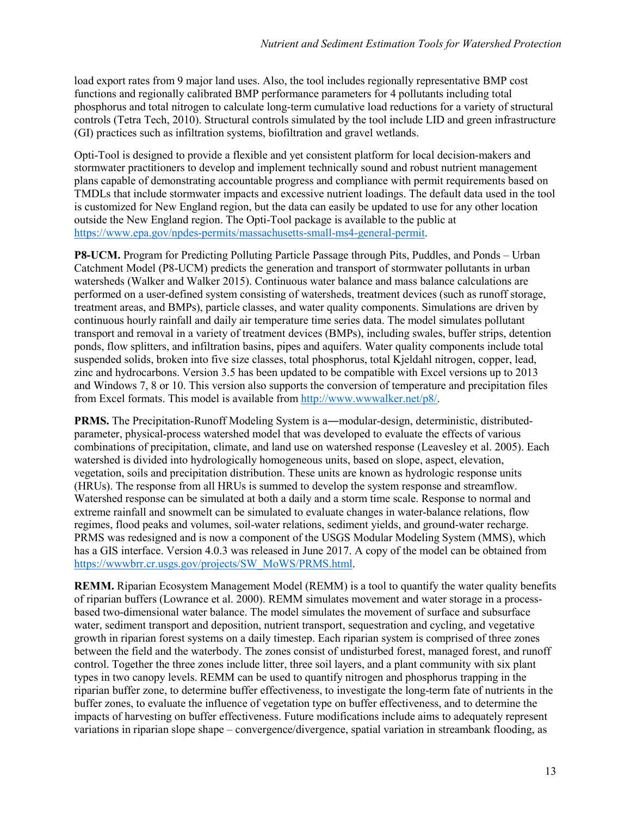load export rates from 9 major land uses. Also, the tool includes regionally representative BMP cost functions and regionally calibrated BMP performance parameters for 4 pollutants including total phosphorus and total nitrogen to calculate long-term cumulative load reductions for a variety of structural controls (Tetra Tech, 2010). Structural controls simulated by the tool include LID and green infrastructure (GI) practices such as infiltration systems, biofiltration and gravel wetlands.

Opti-Tool is designed to provide a flexible and yet consistent platform for local decision-makers and stormwater practitioners to develop and implement technically sound and robust nutrient management plans capable of demonstrating accountable progress and compliance with permit requirements based on TMDLs that include stormwater impacts and excessive nutrient loadings. The default data used in the tool is customized for New England region, but the data can easily be updated to use for any other location outside the New England region. The Opti-Tool package is available to the public at [https://www.epa.gov/npdes-permits/massachusetts-small-ms4-general-permit.](https://www.epa.gov/npdes-permits/massachusetts-small-ms4-general-permit)

**P8-UCM.** Program for Predicting Polluting Particle Passage through Pits, Puddles, and Ponds – Urban Catchment Model (P8-UCM) predicts the generation and transport of stormwater pollutants in urban watersheds (Walker and Walker 2015). Continuous water balance and mass balance calculations are performed on a user-defined system consisting of watersheds, treatment devices (such as runoff storage, treatment areas, and BMPs), particle classes, and water quality components. Simulations are driven by continuous hourly rainfall and daily air temperature time series data. The model simulates pollutant transport and removal in a variety of treatment devices (BMPs), including swales, buffer strips, detention ponds, flow splitters, and infiltration basins, pipes and aquifers. Water quality components include total suspended solids, broken into five size classes, total phosphorus, total Kjeldahl nitrogen, copper, lead, zinc and hydrocarbons. Version 3.5 has been updated to be compatible with Excel versions up to 2013 and Windows 7, 8 or 10. This version also supports the conversion of temperature and precipitation files from Excel formats. This model is available from [http://www.wwwalker.net/p8/.](http://www.wwwalker.net/p8/)

**PRMS.** The Precipitation-Runoff Modeling System is a—modular-design, deterministic, distributedparameter, physical-process watershed model that was developed to evaluate the effects of various combinations of precipitation, climate, and land use on watershed response (Leavesley et al. 2005). Each watershed is divided into hydrologically homogeneous units, based on slope, aspect, elevation, vegetation, soils and precipitation distribution. These units are known as hydrologic response units (HRUs). The response from all HRUs is summed to develop the system response and streamflow. Watershed response can be simulated at both a daily and a storm time scale. Response to normal and extreme rainfall and snowmelt can be simulated to evaluate changes in water-balance relations, flow regimes, flood peaks and volumes, soil-water relations, sediment yields, and ground-water recharge. PRMS was redesigned and is now a component of the USGS Modular Modeling System (MMS), which has a GIS interface. Version 4.0.3 was released in June 2017. A copy of the model can be obtained from [https://wwwbrr.cr.usgs.gov/projects/SW\\_MoWS/PRMS.html.](https://wwwbrr.cr.usgs.gov/projects/SW_MoWS/PRMS.html)

**REMM.** Riparian Ecosystem Management Model (REMM) is a tool to quantify the water quality benefits of riparian buffers (Lowrance et al. 2000). REMM simulates movement and water storage in a processbased two-dimensional water balance. The model simulates the movement of surface and subsurface water, sediment transport and deposition, nutrient transport, sequestration and cycling, and vegetative growth in riparian forest systems on a daily timestep. Each riparian system is comprised of three zones between the field and the waterbody. The zones consist of undisturbed forest, managed forest, and runoff control. Together the three zones include litter, three soil layers, and a plant community with six plant types in two canopy levels. REMM can be used to quantify nitrogen and phosphorus trapping in the riparian buffer zone, to determine buffer effectiveness, to investigate the long-term fate of nutrients in the buffer zones, to evaluate the influence of vegetation type on buffer effectiveness, and to determine the impacts of harvesting on buffer effectiveness. Future modifications include aims to adequately represent variations in riparian slope shape – convergence/divergence, spatial variation in streambank flooding, as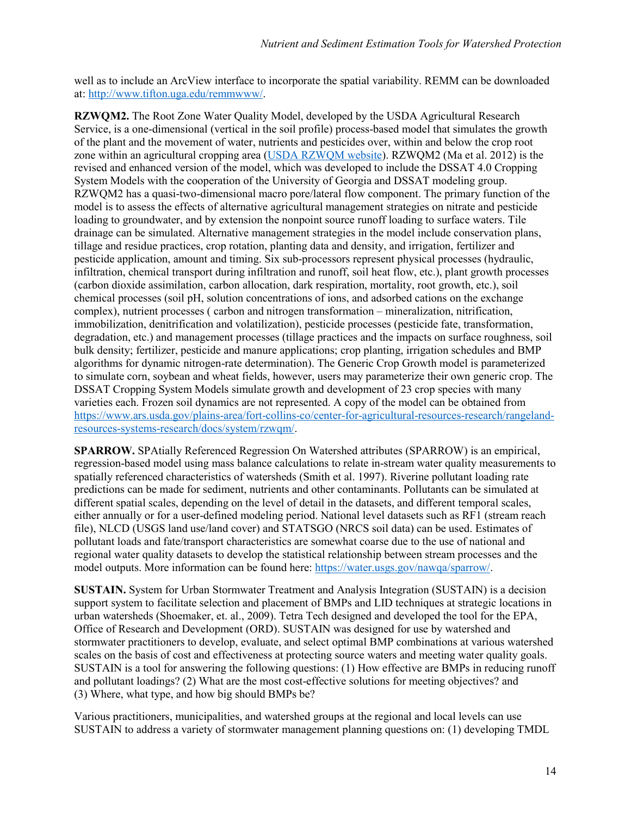well as to include an ArcView interface to incorporate the spatial variability. REMM can be downloaded at: [http://www.tifton.uga.edu/remmwww/.](http://www.tifton.uga.edu/remmwww/)

**RZWQM2.** The Root Zone Water Quality Model, developed by the USDA Agricultural Research Service, is a one-dimensional (vertical in the soil profile) process-based model that simulates the growth of the plant and the movement of water, nutrients and pesticides over, within and below the crop root zone within an agricultural cropping area [\(USDA RZWQM website\)](https://www.ars.usda.gov/plains-area/fort-collins-co/center-for-agricultural-resources-research/rangeland-resources-systems-research/docs/system/rzwqm/). RZWQM2 (Ma et al. 2012) is the revised and enhanced version of the model, which was developed to include the DSSAT 4.0 Cropping System Models with the cooperation of the University of Georgia and DSSAT modeling group. RZWQM2 has a quasi-two-dimensional macro pore/lateral flow component. The primary function of the model is to assess the effects of alternative agricultural management strategies on nitrate and pesticide loading to groundwater, and by extension the nonpoint source runoff loading to surface waters. Tile drainage can be simulated. Alternative management strategies in the model include conservation plans, tillage and residue practices, crop rotation, planting data and density, and irrigation, fertilizer and pesticide application, amount and timing. Six sub-processors represent physical processes (hydraulic, infiltration, chemical transport during infiltration and runoff, soil heat flow, etc.), plant growth processes (carbon dioxide assimilation, carbon allocation, dark respiration, mortality, root growth, etc.), soil chemical processes (soil pH, solution concentrations of ions, and adsorbed cations on the exchange complex), nutrient processes ( carbon and nitrogen transformation – mineralization, nitrification, immobilization, denitrification and volatilization), pesticide processes (pesticide fate, transformation, degradation, etc.) and management processes (tillage practices and the impacts on surface roughness, soil bulk density; fertilizer, pesticide and manure applications; crop planting, irrigation schedules and BMP algorithms for dynamic nitrogen-rate determination). The Generic Crop Growth model is parameterized to simulate corn, soybean and wheat fields, however, users may parameterize their own generic crop. The DSSAT Cropping System Models simulate growth and development of 23 crop species with many varieties each. Frozen soil dynamics are not represented. A copy of the model can be obtained from [https://www.ars.usda.gov/plains-area/fort-collins-co/center-for-agricultural-resources-research/rangeland](https://www.ars.usda.gov/plains-area/fort-collins-co/center-for-agricultural-resources-research/rangeland-resources-systems-research/docs/system/rzwqm/)[resources-systems-research/docs/system/rzwqm/.](https://www.ars.usda.gov/plains-area/fort-collins-co/center-for-agricultural-resources-research/rangeland-resources-systems-research/docs/system/rzwqm/)

**SPARROW.** SPAtially Referenced Regression On Watershed attributes (SPARROW) is an empirical, regression-based model using mass balance calculations to relate in-stream water quality measurements to spatially referenced characteristics of watersheds (Smith et al. 1997). Riverine pollutant loading rate predictions can be made for sediment, nutrients and other contaminants. Pollutants can be simulated at different spatial scales, depending on the level of detail in the datasets, and different temporal scales, either annually or for a user-defined modeling period. National level datasets such as RF1 (stream reach file), NLCD (USGS land use/land cover) and STATSGO (NRCS soil data) can be used. Estimates of pollutant loads and fate/transport characteristics are somewhat coarse due to the use of national and regional water quality datasets to develop the statistical relationship between stream processes and the model outputs. More information can be found here[: https://water.usgs.gov/nawqa/sparrow/.](https://water.usgs.gov/nawqa/sparrow/)

**SUSTAIN.** System for Urban Stormwater Treatment and Analysis Integration (SUSTAIN) is a decision support system to facilitate selection and placement of BMPs and LID techniques at strategic locations in urban watersheds (Shoemaker, et. al., 2009). Tetra Tech designed and developed the tool for the EPA, Office of Research and Development (ORD). SUSTAIN was designed for use by watershed and stormwater practitioners to develop, evaluate, and select optimal BMP combinations at various watershed scales on the basis of cost and effectiveness at protecting source waters and meeting water quality goals. SUSTAIN is a tool for answering the following questions: (1) How effective are BMPs in reducing runoff and pollutant loadings? (2) What are the most cost-effective solutions for meeting objectives? and (3) Where, what type, and how big should BMPs be?

Various practitioners, municipalities, and watershed groups at the regional and local levels can use SUSTAIN to address a variety of stormwater management planning questions on: (1) developing TMDL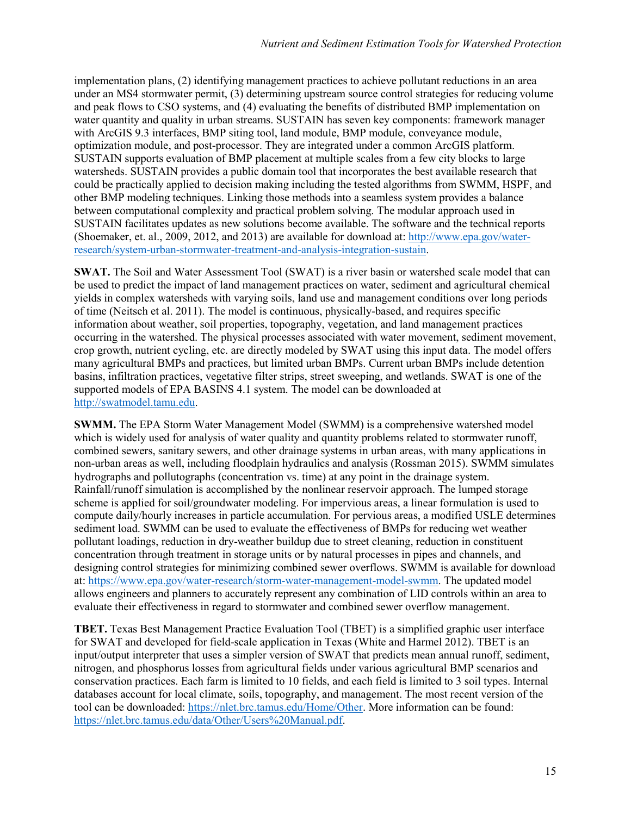implementation plans, (2) identifying management practices to achieve pollutant reductions in an area under an MS4 stormwater permit, (3) determining upstream source control strategies for reducing volume and peak flows to CSO systems, and (4) evaluating the benefits of distributed BMP implementation on water quantity and quality in urban streams. SUSTAIN has seven key components: framework manager with ArcGIS 9.3 interfaces, BMP siting tool, land module, BMP module, conveyance module, optimization module, and post-processor. They are integrated under a common ArcGIS platform. SUSTAIN supports evaluation of BMP placement at multiple scales from a few city blocks to large watersheds. SUSTAIN provides a public domain tool that incorporates the best available research that could be practically applied to decision making including the tested algorithms from SWMM, HSPF, and other BMP modeling techniques. Linking those methods into a seamless system provides a balance between computational complexity and practical problem solving. The modular approach used in SUSTAIN facilitates updates as new solutions become available. The software and the technical reports (Shoemaker, et. al., 2009, 2012, and 2013) are available for download at: [http://www.epa.gov/water](http://www.epa.gov/water-research/system-urban-stormwater-treatment-and-analysis-integration-sustain)[research/system-urban-stormwater-treatment-and-analysis-integration-sustain.](http://www.epa.gov/water-research/system-urban-stormwater-treatment-and-analysis-integration-sustain)

**SWAT.** The Soil and Water Assessment Tool (SWAT) is a river basin or watershed scale model that can be used to predict the impact of land management practices on water, sediment and agricultural chemical yields in complex watersheds with varying soils, land use and management conditions over long periods of time (Neitsch et al. 2011). The model is continuous, physically-based, and requires specific information about weather, soil properties, topography, vegetation, and land management practices occurring in the watershed. The physical processes associated with water movement, sediment movement, crop growth, nutrient cycling, etc. are directly modeled by SWAT using this input data. The model offers many agricultural BMPs and practices, but limited urban BMPs. Current urban BMPs include detention basins, infiltration practices, vegetative filter strips, street sweeping, and wetlands. SWAT is one of the supported models of EPA BASINS 4.1 system. The model can be downloaded at [http://swatmodel.tamu.edu.](http://swatmodel.tamu.edu/)

**SWMM.** The EPA Storm Water Management Model (SWMM) is a comprehensive watershed model which is widely used for analysis of water quality and quantity problems related to stormwater runoff, combined sewers, sanitary sewers, and other drainage systems in urban areas, with many applications in non-urban areas as well, including floodplain hydraulics and analysis (Rossman 2015). SWMM simulates hydrographs and pollutographs (concentration vs. time) at any point in the drainage system. Rainfall/runoff simulation is accomplished by the nonlinear reservoir approach. The lumped storage scheme is applied for soil/groundwater modeling. For impervious areas, a linear formulation is used to compute daily/hourly increases in particle accumulation. For pervious areas, a modified USLE determines sediment load. SWMM can be used to evaluate the effectiveness of BMPs for reducing wet weather pollutant loadings, reduction in dry-weather buildup due to street cleaning, reduction in constituent concentration through treatment in storage units or by natural processes in pipes and channels, and designing control strategies for minimizing combined sewer overflows. SWMM is available for download at[: https://www.epa.gov/water-research/storm-water-management-model-swmm.](https://www.epa.gov/water-research/storm-water-management-model-swmm) The updated model allows engineers and planners to accurately represent any combination of LID controls within an area to evaluate their effectiveness in regard to stormwater and combined sewer overflow management.

**TBET.** Texas Best Management Practice Evaluation Tool (TBET) is a simplified graphic user interface for SWAT and developed for field-scale application in Texas (White and Harmel 2012). TBET is an input/output interpreter that uses a simpler version of SWAT that predicts mean annual runoff, sediment, nitrogen, and phosphorus losses from agricultural fields under various agricultural BMP scenarios and conservation practices. Each farm is limited to 10 fields, and each field is limited to 3 soil types. Internal databases account for local climate, soils, topography, and management. The most recent version of the tool can be downloaded: [https://nlet.brc.tamus.edu/Home/Other.](https://nlet.brc.tamus.edu/Home/Other) More information can be found: [https://nlet.brc.tamus.edu/data/Other/Users%20Manual.pdf.](https://nlet.brc.tamus.edu/data/Other/Users%20Manual.pdf)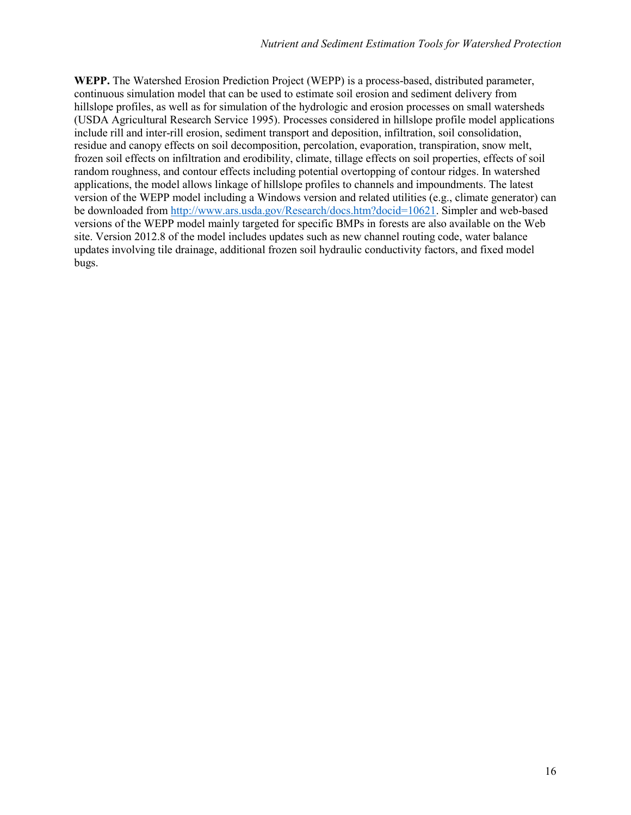**WEPP.** The Watershed Erosion Prediction Project (WEPP) is a process-based, distributed parameter, continuous simulation model that can be used to estimate soil erosion and sediment delivery from hillslope profiles, as well as for simulation of the hydrologic and erosion processes on small watersheds (USDA Agricultural Research Service 1995). Processes considered in hillslope profile model applications include rill and inter-rill erosion, sediment transport and deposition, infiltration, soil consolidation, residue and canopy effects on soil decomposition, percolation, evaporation, transpiration, snow melt, frozen soil effects on infiltration and erodibility, climate, tillage effects on soil properties, effects of soil random roughness, and contour effects including potential overtopping of contour ridges. In watershed applications, the model allows linkage of hillslope profiles to channels and impoundments. The latest version of the WEPP model including a Windows version and related utilities (e.g., climate generator) can be downloaded from [http://www.ars.usda.gov/Research/docs.htm?docid=10621.](http://www.ars.usda.gov/Research/docs.htm?docid=10621) Simpler and web-based versions of the WEPP model mainly targeted for specific BMPs in forests are also available on the Web site. Version 2012.8 of the model includes updates such as new channel routing code, water balance updates involving tile drainage, additional frozen soil hydraulic conductivity factors, and fixed model bugs.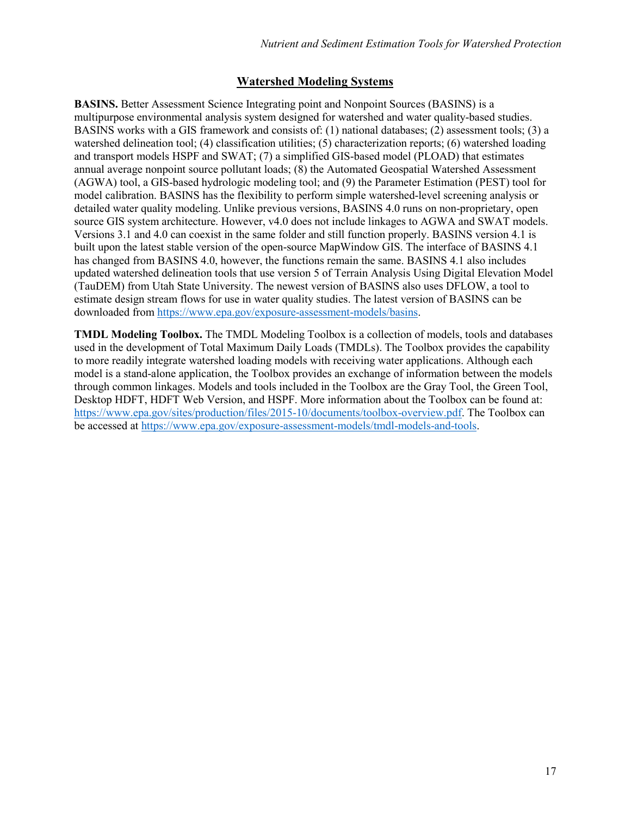#### **Watershed Modeling Systems**

**BASINS.** Better Assessment Science Integrating point and Nonpoint Sources (BASINS) is a multipurpose environmental analysis system designed for watershed and water quality-based studies. BASINS works with a GIS framework and consists of: (1) national databases; (2) assessment tools; (3) a watershed delineation tool; (4) classification utilities; (5) characterization reports; (6) watershed loading and transport models HSPF and SWAT; (7) a simplified GIS-based model (PLOAD) that estimates annual average nonpoint source pollutant loads; (8) the Automated Geospatial Watershed Assessment (AGWA) tool, a GIS-based hydrologic modeling tool; and (9) the Parameter Estimation (PEST) tool for model calibration. BASINS has the flexibility to perform simple watershed-level screening analysis or detailed water quality modeling. Unlike previous versions, BASINS 4.0 runs on non-proprietary, open source GIS system architecture. However, v4.0 does not include linkages to AGWA and SWAT models. Versions 3.1 and 4.0 can coexist in the same folder and still function properly. BASINS version 4.1 is built upon the latest stable version of the open-source MapWindow GIS. The interface of BASINS 4.1 has changed from BASINS 4.0, however, the functions remain the same. BASINS 4.1 also includes updated watershed delineation tools that use version 5 of Terrain Analysis Using Digital Elevation Model (TauDEM) from Utah State University. The newest version of BASINS also uses DFLOW, a tool to estimate design stream flows for use in water quality studies. The latest version of BASINS can be downloaded fro[m https://www.epa.gov/exposure-assessment-models/basins.](https://www.epa.gov/exposure-assessment-models/basins)

**TMDL Modeling Toolbox.** The TMDL Modeling Toolbox is a collection of models, tools and databases used in the development of Total Maximum Daily Loads (TMDLs). The Toolbox provides the capability to more readily integrate watershed loading models with receiving water applications. Although each model is a stand-alone application, the Toolbox provides an exchange of information between the models through common linkages. Models and tools included in the Toolbox are the Gray Tool, the Green Tool, Desktop HDFT, HDFT Web Version, and HSPF. More information about the Toolbox can be found at: [https://www.epa.gov/sites/production/files/2015-10/documents/toolbox-overview.pdf.](https://www.epa.gov/sites/production/files/2015-10/documents/toolbox-overview.pdf) The Toolbox can be accessed at [https://www.epa.gov/exposure-assessment-models/tmdl-models-and-tools.](https://www.epa.gov/exposure-assessment-models/tmdl-models-and-tools)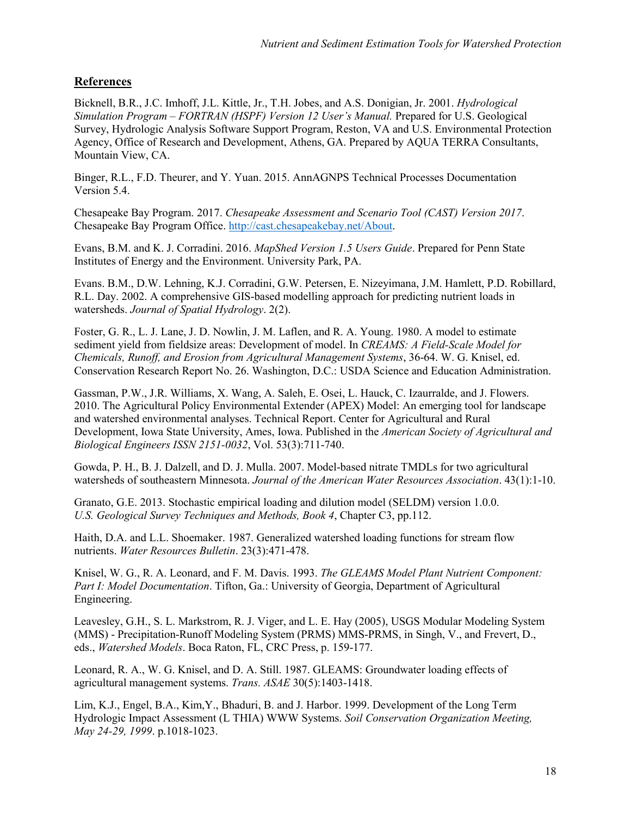#### **References**

Bicknell, B.R., J.C. Imhoff, J.L. Kittle, Jr., T.H. Jobes, and A.S. Donigian, Jr. 2001. *Hydrological Simulation Program – FORTRAN (HSPF) Version 12 User's Manual.* Prepared for U.S. Geological Survey, Hydrologic Analysis Software Support Program, Reston, VA and U.S. Environmental Protection Agency, Office of Research and Development, Athens, GA. Prepared by AQUA TERRA Consultants, Mountain View, CA.

Binger, R.L., F.D. Theurer, and Y. Yuan. 2015. AnnAGNPS Technical Processes Documentation Version 5.4.

Chesapeake Bay Program. 2017. *Chesapeake Assessment and Scenario Tool (CAST) Version 2017*. Chesapeake Bay Program Office. [http://cast.chesapeakebay.net/About.](http://cast.chesapeakebay.net/About)

Evans, B.M. and K. J. Corradini. 2016. *MapShed Version 1.5 Users Guide*. Prepared for Penn State Institutes of Energy and the Environment. University Park, PA.

Evans. B.M., D.W. Lehning, K.J. Corradini, G.W. Petersen, E. Nizeyimana, J.M. Hamlett, P.D. Robillard, R.L. Day. 2002. A comprehensive GIS-based modelling approach for predicting nutrient loads in watersheds. *Journal of Spatial Hydrology*. 2(2).

Foster, G. R., L. J. Lane, J. D. Nowlin, J. M. Laflen, and R. A. Young. 1980. A model to estimate sediment yield from fieldsize areas: Development of model. In *CREAMS: A Field-Scale Model for Chemicals, Runoff, and Erosion from Agricultural Management Systems*, 36-64. W. G. Knisel, ed. Conservation Research Report No. 26. Washington, D.C.: USDA Science and Education Administration.

Gassman, P.W., J.R. Williams, X. Wang, A. Saleh, E. Osei, L. Hauck, C. Izaurralde, and J. Flowers. 2010. The Agricultural Policy Environmental Extender (APEX) Model: An emerging tool for landscape and watershed environmental analyses. Technical Report. Center for Agricultural and Rural Development, Iowa State University, Ames, Iowa. Published in the *American Society of Agricultural and Biological Engineers ISSN 2151-0032*, Vol. 53(3):711-740.

Gowda, P. H., B. J. Dalzell, and D. J. Mulla. 2007. Model-based nitrate TMDLs for two agricultural watersheds of southeastern Minnesota. *Journal of the American Water Resources Association*. 43(1):1-10.

Granato, G.E. 2013. Stochastic empirical loading and dilution model (SELDM) version 1.0.0. *U.S. Geological Survey Techniques and Methods, Book 4*, Chapter C3, pp.112.

Haith, D.A. and L.L. Shoemaker. 1987. Generalized watershed loading functions for stream flow nutrients. *Water Resources Bulletin*. 23(3):471-478.

Knisel, W. G., R. A. Leonard, and F. M. Davis. 1993. *The GLEAMS Model Plant Nutrient Component: Part I: Model Documentation*. Tifton, Ga.: University of Georgia, Department of Agricultural Engineering.

Leavesley, G.H., S. L. Markstrom, R. J. Viger, and L. E. Hay (2005), USGS Modular Modeling System (MMS) - Precipitation-Runoff Modeling System (PRMS) MMS-PRMS, in Singh, V., and Frevert, D., eds., *Watershed Models*. Boca Raton, FL, CRC Press, p. 159-177.

Leonard, R. A., W. G. Knisel, and D. A. Still. 1987. GLEAMS: Groundwater loading effects of agricultural management systems. *Trans. ASAE* 30(5):1403-1418.

Lim, K.J., Engel, B.A., Kim,Y., Bhaduri, B. and J. Harbor. 1999. Development of the Long Term Hydrologic Impact Assessment (L THIA) WWW Systems. *Soil Conservation Organization Meeting, May 24-29, 1999*. p.1018-1023.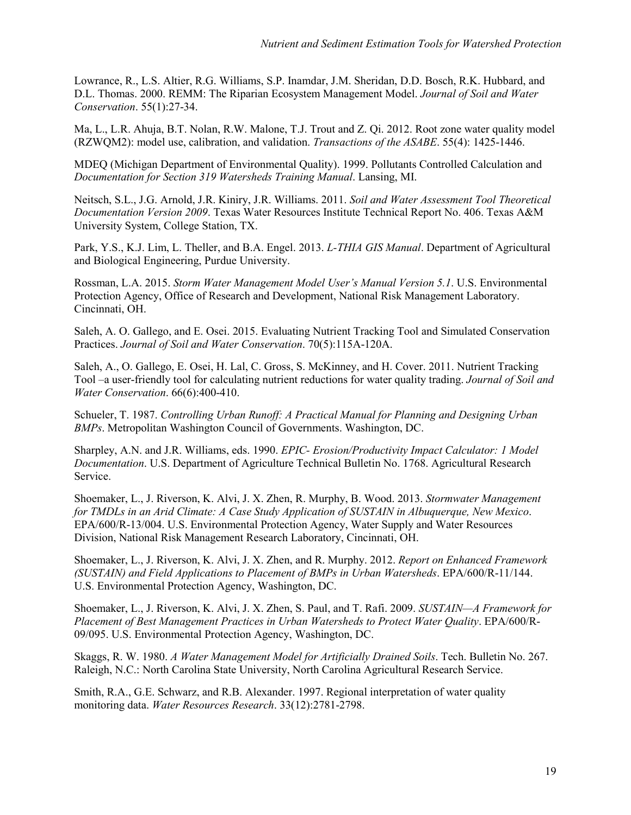Lowrance, R., L.S. Altier, R.G. Williams, S.P. Inamdar, J.M. Sheridan, D.D. Bosch, R.K. Hubbard, and D.L. Thomas. 2000. REMM: The Riparian Ecosystem Management Model. *Journal of Soil and Water Conservation*. 55(1):27-34.

Ma, L., L.R. Ahuja, B.T. Nolan, R.W. Malone, T.J. Trout and Z. Qi. 2012. Root zone water quality model (RZWQM2): model use, calibration, and validation. *Transactions of the ASABE*. 55(4): 1425-1446.

MDEQ (Michigan Department of Environmental Quality). 1999. Pollutants Controlled Calculation and *Documentation for Section 319 Watersheds Training Manual*. Lansing, MI.

Neitsch, S.L., J.G. Arnold, J.R. Kiniry, J.R. Williams. 2011. *Soil and Water Assessment Tool Theoretical Documentation Version 2009*. Texas Water Resources Institute Technical Report No. 406. Texas A&M University System, College Station, TX.

Park, Y.S., K.J. Lim, L. Theller, and B.A. Engel. 2013. *L-THIA GIS Manual*. Department of Agricultural and Biological Engineering, Purdue University.

Rossman, L.A. 2015. *Storm Water Management Model User's Manual Version 5.1*. U.S. Environmental Protection Agency, Office of Research and Development, National Risk Management Laboratory. Cincinnati, OH.

Saleh, A. O. Gallego, and E. Osei. 2015. Evaluating Nutrient Tracking Tool and Simulated Conservation Practices. *Journal of Soil and Water Conservation*. 70(5):115A-120A.

Saleh, A., O. Gallego, E. Osei, H. Lal, C. Gross, S. McKinney, and H. Cover. 2011. Nutrient Tracking Tool –a user-friendly tool for calculating nutrient reductions for water quality trading. *Journal of Soil and Water Conservation*. 66(6):400-410.

Schueler, T. 1987. *Controlling Urban Runoff: A Practical Manual for Planning and Designing Urban BMPs*. Metropolitan Washington Council of Governments. Washington, DC.

Sharpley, A.N. and J.R. Williams, eds. 1990. *EPIC- Erosion/Productivity Impact Calculator: 1 Model Documentation*. U.S. Department of Agriculture Technical Bulletin No. 1768. Agricultural Research Service.

Shoemaker, L., J. Riverson, K. Alvi, J. X. Zhen, R. Murphy, B. Wood. 2013. *Stormwater Management for TMDLs in an Arid Climate: A Case Study Application of SUSTAIN in Albuquerque, New Mexico*. EPA/600/R-13/004. U.S. Environmental Protection Agency, Water Supply and Water Resources Division, National Risk Management Research Laboratory, Cincinnati, OH.

Shoemaker, L., J. Riverson, K. Alvi, J. X. Zhen, and R. Murphy. 2012. *Report on Enhanced Framework (SUSTAIN) and Field Applications to Placement of BMPs in Urban Watersheds*. EPA/600/R-11/144. U.S. Environmental Protection Agency, Washington, DC.

Shoemaker, L., J. Riverson, K. Alvi, J. X. Zhen, S. Paul, and T. Rafi. 2009. *SUSTAIN—A Framework for Placement of Best Management Practices in Urban Watersheds to Protect Water Quality*. EPA/600/R-09/095. U.S. Environmental Protection Agency, Washington, DC.

Skaggs, R. W. 1980. *A Water Management Model for Artificially Drained Soils*. Tech. Bulletin No. 267. Raleigh, N.C.: North Carolina State University, North Carolina Agricultural Research Service.

Smith, R.A., G.E. Schwarz, and R.B. Alexander. 1997. Regional interpretation of water quality monitoring data. *Water Resources Research*. 33(12):2781-2798.